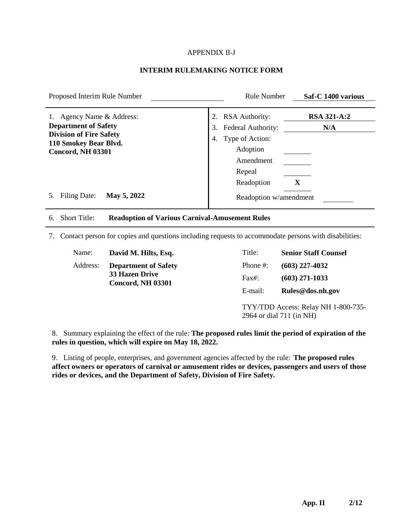#### APPENDIX II-J

### **INTERIM RULEMAKING NOTICE FORM**

| 2.<br><b>RSA Authority:</b><br>Federal Authority:<br>3.<br>Type of Action:<br>4.<br>Adoption<br>Amendment<br>Repeal | RSA 321-A:2<br>N/A                                              |  |  |  |  |  |
|---------------------------------------------------------------------------------------------------------------------|-----------------------------------------------------------------|--|--|--|--|--|
| Readoption                                                                                                          | $\mathbf{X}$                                                    |  |  |  |  |  |
| Readoption w/amendment                                                                                              |                                                                 |  |  |  |  |  |
| <b>Readoption of Various Carnival-Amusement Rules</b><br><b>Short Title:</b><br>6.                                  |                                                                 |  |  |  |  |  |
| Contact person for copies and questions including requests to accommodate persons with disabilities:<br>7.          |                                                                 |  |  |  |  |  |
| Title:                                                                                                              | <b>Senior Staff Counsel</b>                                     |  |  |  |  |  |
| Phone #:                                                                                                            | $(603)$ 227-4032                                                |  |  |  |  |  |
| Fax#:                                                                                                               | $(603)$ 271-1033                                                |  |  |  |  |  |
| E-mail:                                                                                                             | Rules@dos.nh.gov                                                |  |  |  |  |  |
|                                                                                                                     | TYY/TDD Access: Relay NH 1-800-735-<br>2964 or dial 711 (in NH) |  |  |  |  |  |
|                                                                                                                     |                                                                 |  |  |  |  |  |

**rules in question, which will expire on May 18, 2022.**

9. Listing of people, enterprises, and government agencies affected by the rule: **The proposed rules affect owners or operators of carnival or amusement rides or devices, passengers and users of those rides or devices, and the Department of Safety, Division of Fire Safety.**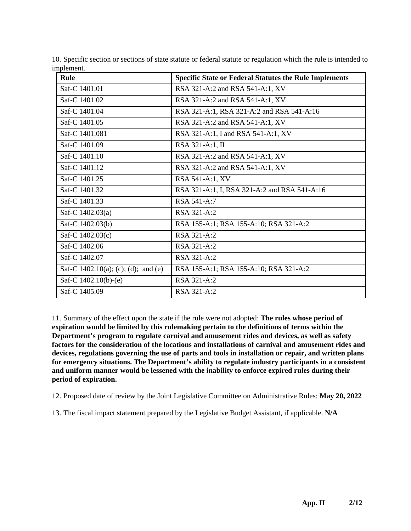| <b>Rule</b>                            | <b>Specific State or Federal Statutes the Rule Implements</b> |  |
|----------------------------------------|---------------------------------------------------------------|--|
| Saf-C 1401.01                          | RSA 321-A:2 and RSA 541-A:1, XV                               |  |
| Saf-C 1401.02                          | RSA 321-A:2 and RSA 541-A:1, XV                               |  |
| Saf-C 1401.04                          | RSA 321-A:1, RSA 321-A:2 and RSA 541-A:16                     |  |
| Saf-C 1401.05                          | RSA 321-A:2 and RSA 541-A:1, XV                               |  |
| Saf-C 1401.081                         | RSA 321-A:1, I and RSA 541-A:1, XV                            |  |
| Saf-C 1401.09                          | RSA 321-A:1, II                                               |  |
| Saf-C 1401.10                          | RSA 321-A:2 and RSA 541-A:1, XV                               |  |
| Saf-C 1401.12                          | RSA 321-A:2 and RSA 541-A:1, XV                               |  |
| Saf-C 1401.25                          | RSA 541-A:1, XV                                               |  |
| Saf-C 1401.32                          | RSA 321-A:1, I, RSA 321-A:2 and RSA 541-A:16                  |  |
| Saf-C 1401.33                          | RSA 541-A:7                                                   |  |
| Saf-C 1402.03(a)                       | RSA 321-A:2                                                   |  |
| Saf-C 1402.03(b)                       | RSA 155-A:1; RSA 155-A:10; RSA 321-A:2                        |  |
| Saf-C 1402.03(c)                       | RSA 321-A:2                                                   |  |
| Saf-C 1402.06                          | RSA 321-A:2                                                   |  |
| Saf-C 1402.07                          | RSA 321-A:2                                                   |  |
| Saf-C $1402.10(a)$ ; (c); (d); and (e) | RSA 155-A:1; RSA 155-A:10; RSA 321-A:2                        |  |
| Saf-C $1402.10(b)$ -(e)                | RSA 321-A:2                                                   |  |
| Saf-C 1405.09                          | RSA 321-A:2                                                   |  |

10. Specific section or sections of state statute or federal statute or regulation which the rule is intended to implement.

11. Summary of the effect upon the state if the rule were not adopted: **The rules whose period of expiration would be limited by this rulemaking pertain to the definitions of terms within the Department's program to regulate carnival and amusement rides and devices, as well as safety factors for the consideration of the locations and installations of carnival and amusement rides and devices, regulations governing the use of parts and tools in installation or repair, and written plans for emergency situations. The Department's ability to regulate industry participants in a consistent and uniform manner would be lessened with the inability to enforce expired rules during their period of expiration.** 

12. Proposed date of review by the Joint Legislative Committee on Administrative Rules: **May 20, 2022**

13. The fiscal impact statement prepared by the Legislative Budget Assistant, if applicable. **N/A**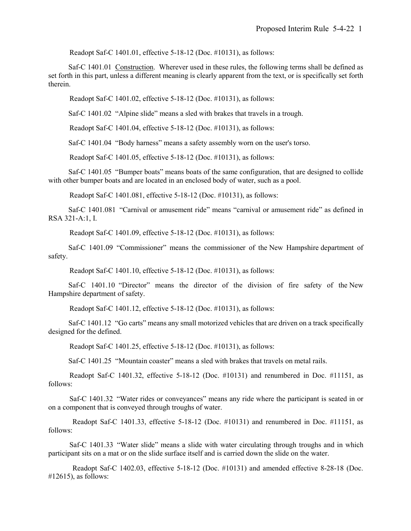Readopt Saf-C 1401.01, effective 5-18-12 (Doc. #10131), as follows:

Saf-C 1401.01 Construction. Wherever used in these rules, the following terms shall be defined as set forth in this part, unless a different meaning is clearly apparent from the text, or is specifically set forth therein.

Readopt Saf-C 1401.02, effective 5-18-12 (Doc. #10131), as follows:

Saf-C 1401.02 "Alpine slide" means a sled with brakes that travels in a trough.

Readopt Saf-C 1401.04, effective 5-18-12 (Doc. #10131), as follows:

Saf-C 1401.04 "Body harness" means a safety assembly worn on the user's torso.

Readopt Saf-C 1401.05, effective 5-18-12 (Doc. #10131), as follows:

Saf-C 1401.05 "Bumper boats" means boats of the same configuration, that are designed to collide with other bumper boats and are located in an enclosed body of water, such as a pool.

Readopt Saf-C 1401.081, effective 5-18-12 (Doc. #10131), as follows:

Saf-C 1401.081 "Carnival or amusement ride" means "carnival or amusement ride" as defined in RSA 321-A:1, I.

Readopt Saf-C 1401.09, effective 5-18-12 (Doc. #10131), as follows:

Saf-C 1401.09 "Commissioner" means the commissioner of the New Hampshire department of safety.

Readopt Saf-C 1401.10, effective 5-18-12 (Doc. #10131), as follows:

Saf-C 1401.10 "Director" means the director of the division of fire safety of the New Hampshire department of safety.

Readopt Saf-C 1401.12, effective 5-18-12 (Doc. #10131), as follows:

Saf-C 1401.12 "Go carts" means any small motorized vehicles that are driven on a track specifically designed for the defined.

Readopt Saf-C 1401.25, effective 5-18-12 (Doc. #10131), as follows:

Saf-C 1401.25 "Mountain coaster" means a sled with brakes that travels on metal rails.

Readopt Saf-C 1401.32, effective 5-18-12 (Doc. #10131) and renumbered in Doc. #11151, as follows:

Saf-C 1401.32 "Water rides or conveyances" means any ride where the participant is seated in or on a component that is conveyed through troughs of water.

 Readopt Saf-C 1401.33, effective 5-18-12 (Doc. #10131) and renumbered in Doc. #11151, as follows:

Saf-C 1401.33 "Water slide" means a slide with water circulating through troughs and in which participant sits on a mat or on the slide surface itself and is carried down the slide on the water.

 Readopt Saf-C 1402.03, effective 5-18-12 (Doc. #10131) and amended effective 8-28-18 (Doc. #12615), as follows: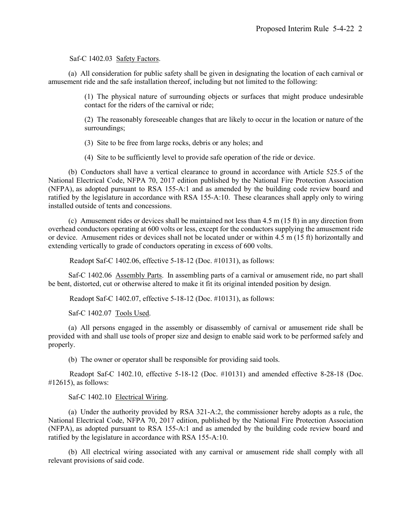Saf-C 1402.03 Safety Factors.

(a) All consideration for public safety shall be given in designating the location of each carnival or amusement ride and the safe installation thereof, including but not limited to the following:

> (1) The physical nature of surrounding objects or surfaces that might produce undesirable contact for the riders of the carnival or ride;

> (2) The reasonably foreseeable changes that are likely to occur in the location or nature of the surroundings;

(3) Site to be free from large rocks, debris or any holes; and

(4) Site to be sufficiently level to provide safe operation of the ride or device.

(b) Conductors shall have a vertical clearance to ground in accordance with Article 525.5 of the National Electrical Code, NFPA 70, 2017 edition published by the National Fire Protection Association (NFPA), as adopted pursuant to RSA 155-A:1 and as amended by the building code review board and ratified by the legislature in accordance with RSA 155-A:10. These clearances shall apply only to wiring installed outside of tents and concessions.

(c) Amusement rides or devices shall be maintained not less than  $4.5 \text{ m} (15 \text{ ft})$  in any direction from overhead conductors operating at 600 volts or less, except for the conductors supplying the amusement ride or device. Amusement rides or devices shall not be located under or within 4.5 m (15 ft) horizontally and extending vertically to grade of conductors operating in excess of 600 volts.

Readopt Saf-C 1402.06, effective 5-18-12 (Doc. #10131), as follows:

Saf-C 1402.06 Assembly Parts. In assembling parts of a carnival or amusement ride, no part shall be bent, distorted, cut or otherwise altered to make it fit its original intended position by design.

Readopt Saf-C 1402.07, effective 5-18-12 (Doc. #10131), as follows:

Saf-C 1402.07 Tools Used.

(a) All persons engaged in the assembly or disassembly of carnival or amusement ride shall be provided with and shall use tools of proper size and design to enable said work to be performed safely and properly.

(b) The owner or operator shall be responsible for providing said tools.

Readopt Saf-C 1402.10, effective 5-18-12 (Doc. #10131) and amended effective 8-28-18 (Doc.  $\#12615$ , as follows:

#### Saf-C 1402.10 Electrical Wiring.

(a) Under the authority provided by RSA 321-A:2, the commissioner hereby adopts as a rule, the National Electrical Code, NFPA 70, 2017 edition, published by the National Fire Protection Association (NFPA), as adopted pursuant to RSA 155-A:1 and as amended by the building code review board and ratified by the legislature in accordance with RSA 155-A:10.

(b) All electrical wiring associated with any carnival or amusement ride shall comply with all relevant provisions of said code.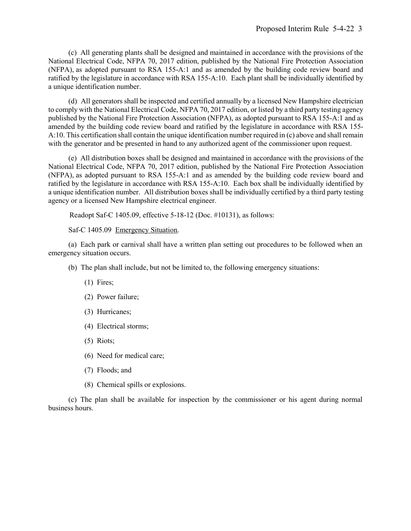(c) All generating plants shall be designed and maintained in accordance with the provisions of the National Electrical Code, NFPA 70, 2017 edition, published by the National Fire Protection Association (NFPA), as adopted pursuant to RSA 155-A:1 and as amended by the building code review board and ratified by the legislature in accordance with RSA 155-A:10. Each plant shall be individually identified by a unique identification number.

(d) All generators shall be inspected and certified annually by a licensed New Hampshire electrician to comply with the National Electrical Code, NFPA 70, 2017 edition, or listed by a third party testing agency published by the National Fire Protection Association (NFPA), as adopted pursuant to RSA 155-A:1 and as amended by the building code review board and ratified by the legislature in accordance with RSA 155- A:10. This certification shall contain the unique identification number required in (c) above and shall remain with the generator and be presented in hand to any authorized agent of the commissioner upon request.

(e) All distribution boxes shall be designed and maintained in accordance with the provisions of the National Electrical Code, NFPA 70, 2017 edition, published by the National Fire Protection Association (NFPA), as adopted pursuant to RSA 155-A:1 and as amended by the building code review board and ratified by the legislature in accordance with RSA 155-A:10. Each box shall be individually identified by a unique identification number. All distribution boxes shall be individually certified by a third party testing agency or a licensed New Hampshire electrical engineer.

Readopt Saf-C 1405.09, effective 5-18-12 (Doc. #10131), as follows:

Saf-C 1405.09 Emergency Situation.

(a) Each park or carnival shall have a written plan setting out procedures to be followed when an emergency situation occurs.

- (b) The plan shall include, but not be limited to, the following emergency situations:
	- (1) Fires;
	- (2) Power failure;
	- (3) Hurricanes;
	- (4) Electrical storms;
	- (5) Riots;
	- (6) Need for medical care;
	- (7) Floods; and
	- (8) Chemical spills or explosions.

(c) The plan shall be available for inspection by the commissioner or his agent during normal business hours.